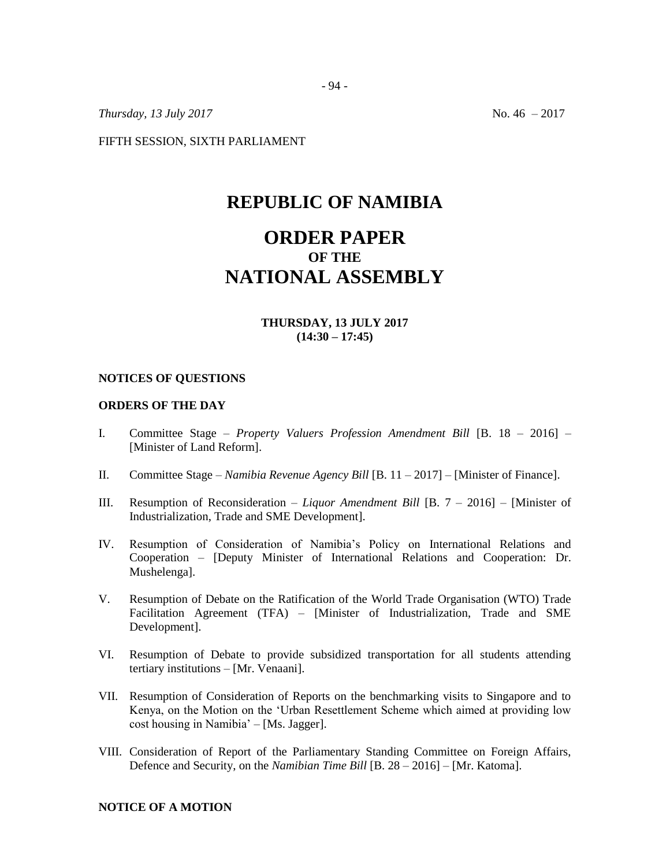*Thursday, 13 July 2017* No. 46 – 2017

FIFTH SESSION, SIXTH PARLIAMENT

## **REPUBLIC OF NAMIBIA**

# **ORDER PAPER OF THE NATIONAL ASSEMBLY**

## **THURSDAY, 13 JULY 2017 (14:30 – 17:45)**

#### **NOTICES OF QUESTIONS**

### **ORDERS OF THE DAY**

- I. Committee Stage *Property Valuers Profession Amendment Bill* [B. 18 2016] [Minister of Land Reform].
- II. Committee Stage *Namibia Revenue Agency Bill* [B. 11 2017] [Minister of Finance].
- III. Resumption of Reconsideration *Liquor Amendment Bill* [B. 7 2016] [Minister of Industrialization, Trade and SME Development].
- IV. Resumption of Consideration of Namibia's Policy on International Relations and Cooperation – [Deputy Minister of International Relations and Cooperation: Dr. Mushelenga].
- V. Resumption of Debate on the Ratification of the World Trade Organisation (WTO) Trade Facilitation Agreement (TFA) – [Minister of Industrialization, Trade and SME Development].
- VI. Resumption of Debate to provide subsidized transportation for all students attending tertiary institutions – [Mr. Venaani].
- VII. Resumption of Consideration of Reports on the benchmarking visits to Singapore and to Kenya, on the Motion on the 'Urban Resettlement Scheme which aimed at providing low cost housing in Namibia' – [Ms. Jagger].
- VIII. Consideration of Report of the Parliamentary Standing Committee on Foreign Affairs, Defence and Security, on the *Namibian Time Bill* [B. 28 – 2016] – [Mr. Katoma].

**NOTICE OF A MOTION**